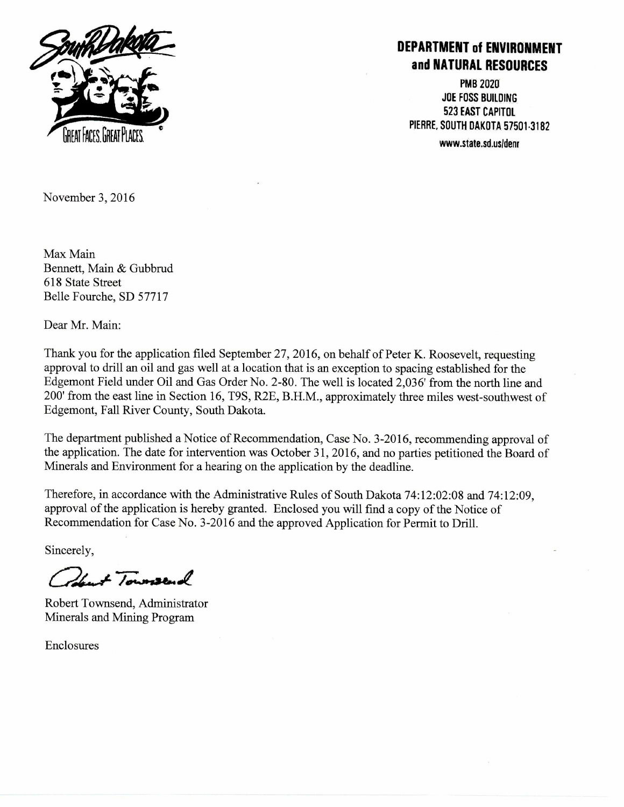

## **DEPARTMENT of ENVIRONMENT and NATURAL RESOURCES**

**PMB 2020 JOE FOSS BUILDING 523 EAST CAPITOL PIERRE, SOUTH DAKOTA 57501.3182** 

November 3, 2016

Max Main Bennett, Main & Gubbrud 618 State Street Belle Fourche, SD 57717

Dear Mr. Main:

Thank you for the application filed September 27, 2016, on behalf of Peter K. Roosevelt, requesting approval to drill an oil and gas well at a location that is an exception to spacing established for the Edgemont Field under Oil and Gas Order No. 2-80. The well is located 2,036' from the north line and 200' from the east line in Section 16, T9S, R2E, B.H.M., approximately three miles west-southwest of Edgemont, Fall River County, South Dakota.

The department published a Notice of Recommendation, Case No. 3-2016, recommending approval of the application. The date for intervention was October 31, 2016, and no parties petitioned the Board of Minerals and Environment for a hearing on the application by the deadline.

Therefore, in accordance with the Administrative Rules of South Dakota 74:12:02:08 and 74:12:09, approval of the application is hereby granted. Enclosed you will find a copy of the Notice of Recommendation for Case No. 3-2016 and the approved Application for Permit to Drill.

Sincerely,

de at Townsend

Robert Townsend, Administrator Minerals and Mining Program

Enclosures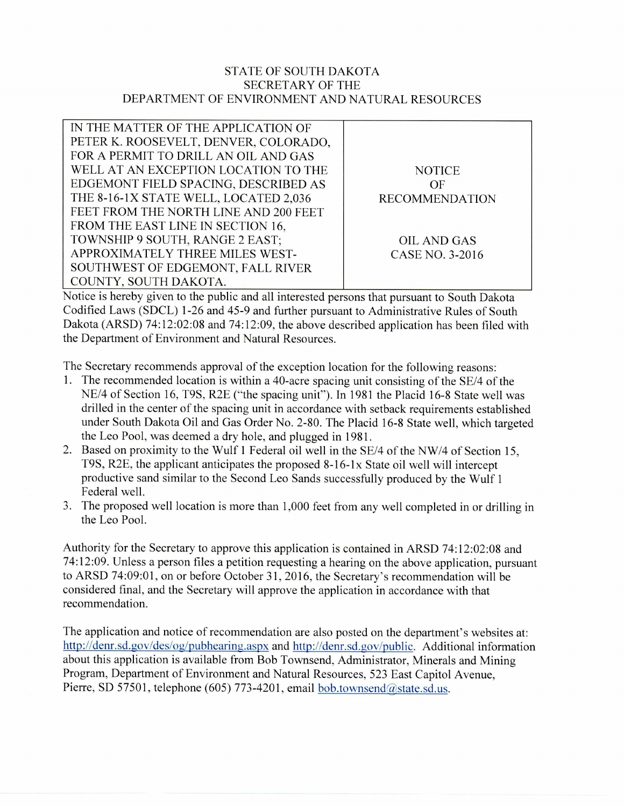## STATE OF SOUTH DAKOTA SECRETARY OF THE DEPARTMENT OF ENVIRONMENT AND NATURAL RESOURCES

| IN THE MATTER OF THE APPLICATION OF   |                       |  |
|---------------------------------------|-----------------------|--|
| PETER K. ROOSEVELT, DENVER, COLORADO, |                       |  |
| FOR A PERMIT TO DRILL AN OIL AND GAS  |                       |  |
| WELL AT AN EXCEPTION LOCATION TO THE  | <b>NOTICE</b>         |  |
| EDGEMONT FIELD SPACING, DESCRIBED AS  | OF                    |  |
| THE 8-16-1X STATE WELL, LOCATED 2,036 | <b>RECOMMENDATION</b> |  |
| FEET FROM THE NORTH LINE AND 200 FEET |                       |  |
| FROM THE EAST LINE IN SECTION 16,     |                       |  |
| TOWNSHIP 9 SOUTH, RANGE 2 EAST;       | <b>OIL AND GAS</b>    |  |
| APPROXIMATELY THREE MILES WEST-       | CASE NO. 3-2016       |  |
| SOUTHWEST OF EDGEMONT, FALL RIVER     |                       |  |
| COUNTY, SOUTH DAKOTA.                 |                       |  |

Notice is hereby given to the public and all interested persons that pursuant to South Dakota Codified Laws (SDCL) 1-26 and 45-9 and further pursuant to Administrative Rules of South Dakota (ARSD) 74:12:02:08 and 74:12:09, the above described application has been filed with the Department of Environment and Natural Resources.

The Secretary recommends approval of the exception location for the following reasons:

- 1. The recommended location is within a 40-acre spacing unit consisting of the SE/4 of the NE/4 of Section 16, T9S, R2E ("the spacing unit"). In 1981 the Placid 16-8 State well was drilled in the center of the spacing unit in accordance with setback requirements established under South Dakota Oil and Gas Order No. 2-80. The Placid 16-8 State well, which targeted the Leo Pool, was deemed a dry hole, and plugged in 1981.
- 2. Based on proximity to the Wulf 1 Federal oil well in the SE/4 of the NW/4 of Section 15, T9S, R2E, the applicant anticipates the proposed 8-16-1x State oil well will intercept productive sand similar to the Second Leo Sands successfully produced by the Wulf 1 Federal well.
- 3. The proposed well location is more than 1,000 feet from any well completed in or drilling in the Leo Pool.

Authority for the Secretary to approve this application is contained in ARSD 74:12:02:08 and 74:12:09. Unless a person files a petition requesting a hearing on the above application, pursuant to ARSD 74:09:01, on or before October 31, 2016, the Secretary's recommendation will be considered final, and the Secretary will approve the application in accordance with that recommendation.

The application and notice of recommendation are also posted on the department's websites at: http://denr.sd.gov/des/og/pubhearing.aspxand http://denr.sd.gov/public. Additional information about this application is available from Bob Townsend, Administrator, Minerals and Mining Program, Department of Environment and Natural Resources, 523 East Capitol Avenue, Pierre, SD 57501, telephone (605) 773-4201, email  $\underline{bob}$ .townsend $@$ state.sd.us.